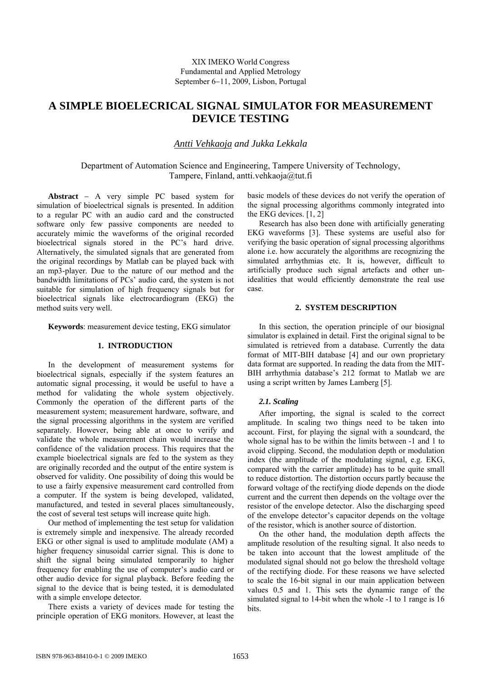# **A SIMPLE BIOELECRICAL SIGNAL SIMULATOR FOR MEASUREMENT DEVICE TESTING**

# *Antti Vehkaoja and Jukka Lekkala*

Department of Automation Science and Engineering, Tampere University of Technology, Tampere, Finland, antti.vehkaoja@tut.fi

**Abstract** − A very simple PC based system for simulation of bioelectrical signals is presented. In addition to a regular PC with an audio card and the constructed software only few passive components are needed to accurately mimic the waveforms of the original recorded bioelectrical signals stored in the PC's hard drive. Alternatively, the simulated signals that are generated from the original recordings by Matlab can be played back with an mp3-player. Due to the nature of our method and the bandwidth limitations of PCs' audio card, the system is not suitable for simulation of high frequency signals but for bioelectrical signals like electrocardiogram (EKG) the method suits very well.

**Keywords**: measurement device testing, EKG simulator

## **1. INTRODUCTION**

In the development of measurement systems for bioelectrical signals, especially if the system features an automatic signal processing, it would be useful to have a method for validating the whole system objectively. Commonly the operation of the different parts of the measurement system; measurement hardware, software, and the signal processing algorithms in the system are verified separately. However, being able at once to verify and validate the whole measurement chain would increase the confidence of the validation process. This requires that the example bioelectrical signals are fed to the system as they are originally recorded and the output of the entire system is observed for validity. One possibility of doing this would be to use a fairly expensive measurement card controlled from a computer. If the system is being developed, validated, manufactured, and tested in several places simultaneously, the cost of several test setups will increase quite high.

Our method of implementing the test setup for validation is extremely simple and inexpensive. The already recorded EKG or other signal is used to amplitude modulate (AM) a higher frequency sinusoidal carrier signal. This is done to shift the signal being simulated temporarily to higher frequency for enabling the use of computer's audio card or other audio device for signal playback. Before feeding the signal to the device that is being tested, it is demodulated with a simple envelope detector.

There exists a variety of devices made for testing the principle operation of EKG monitors. However, at least the basic models of these devices do not verify the operation of the signal processing algorithms commonly integrated into the EKG devices. [1, 2]

Research has also been done with artificially generating EKG waveforms [3]. These systems are useful also for verifying the basic operation of signal processing algorithms alone i.e. how accurately the algorithms are recognizing the simulated arrhythmias etc. It is, however, difficult to artificially produce such signal artefacts and other unidealities that would efficiently demonstrate the real use case.

## **2. SYSTEM DESCRIPTION**

In this section, the operation principle of our biosignal simulator is explained in detail. First the original signal to be simulated is retrieved from a database. Currently the data format of MIT-BIH database [4] and our own proprietary data format are supported. In reading the data from the MIT-BIH arrhythmia database's 212 format to Matlab we are using a script written by James Lamberg [5].

#### *2.1. Scaling*

After importing, the signal is scaled to the correct amplitude. In scaling two things need to be taken into account. First, for playing the signal with a soundcard, the whole signal has to be within the limits between -1 and 1 to avoid clipping. Second, the modulation depth or modulation index (the amplitude of the modulating signal, e.g. EKG, compared with the carrier amplitude) has to be quite small to reduce distortion. The distortion occurs partly because the forward voltage of the rectifying diode depends on the diode current and the current then depends on the voltage over the resistor of the envelope detector. Also the discharging speed of the envelope detector's capacitor depends on the voltage of the resistor, which is another source of distortion.

On the other hand, the modulation depth affects the amplitude resolution of the resulting signal. It also needs to be taken into account that the lowest amplitude of the modulated signal should not go below the threshold voltage of the rectifying diode. For these reasons we have selected to scale the 16-bit signal in our main application between values 0.5 and 1. This sets the dynamic range of the simulated signal to 14-bit when the whole -1 to 1 range is 16 bits.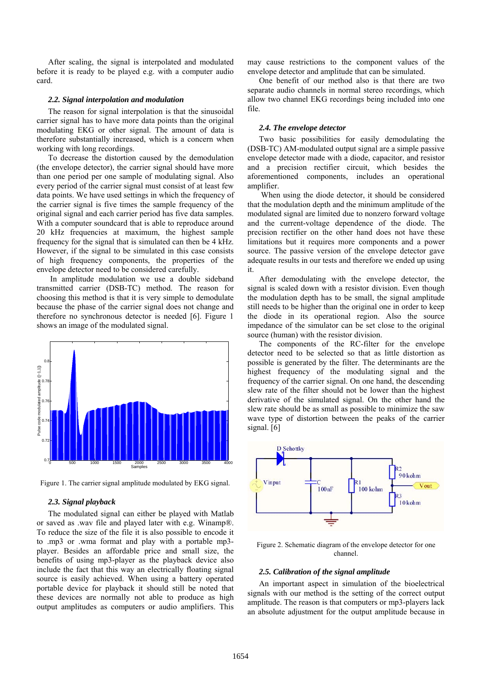After scaling, the signal is interpolated and modulated before it is ready to be played e.g. with a computer audio card.

## *2.2. Signal interpolation and modulation*

The reason for signal interpolation is that the sinusoidal carrier signal has to have more data points than the original modulating EKG or other signal. The amount of data is therefore substantially increased, which is a concern when working with long recordings.

To decrease the distortion caused by the demodulation (the envelope detector), the carrier signal should have more than one period per one sample of modulating signal. Also every period of the carrier signal must consist of at least few data points. We have used settings in which the frequency of the carrier signal is five times the sample frequency of the original signal and each carrier period has five data samples. With a computer soundcard that is able to reproduce around 20 kHz frequencies at maximum, the highest sample frequency for the signal that is simulated can then be 4 kHz. However, if the signal to be simulated in this case consists of high frequency components, the properties of the envelope detector need to be considered carefully.

 In amplitude modulation we use a double sideband transmitted carrier (DSB-TC) method. The reason for choosing this method is that it is very simple to demodulate because the phase of the carrier signal does not change and therefore no synchronous detector is needed [6]. Figure 1 shows an image of the modulated signal.



Figure 1. The carrier signal amplitude modulated by EKG signal.

#### *2.3. Signal playback*

The modulated signal can either be played with Matlab or saved as .wav file and played later with e.g. Winamp®. To reduce the size of the file it is also possible to encode it to .mp3 or .wma format and play with a portable mp3 player. Besides an affordable price and small size, the benefits of using mp3-player as the playback device also include the fact that this way an electrically floating signal source is easily achieved. When using a battery operated portable device for playback it should still be noted that these devices are normally not able to produce as high output amplitudes as computers or audio amplifiers. This may cause restrictions to the component values of the envelope detector and amplitude that can be simulated.

One benefit of our method also is that there are two separate audio channels in normal stereo recordings, which allow two channel EKG recordings being included into one file.

## *2.4. The envelope detector*

Two basic possibilities for easily demodulating the (DSB-TC) AM-modulated output signal are a simple passive envelope detector made with a diode, capacitor, and resistor and a precision rectifier circuit, which besides the aforementioned components, includes an operational amplifier.

 When using the diode detector, it should be considered that the modulation depth and the minimum amplitude of the modulated signal are limited due to nonzero forward voltage and the current-voltage dependence of the diode. The precision rectifier on the other hand does not have these limitations but it requires more components and a power source. The passive version of the envelope detector gave adequate results in our tests and therefore we ended up using it.

After demodulating with the envelope detector, the signal is scaled down with a resistor division. Even though the modulation depth has to be small, the signal amplitude still needs to be higher than the original one in order to keep the diode in its operational region. Also the source impedance of the simulator can be set close to the original source (human) with the resistor division.

The components of the RC-filter for the envelope detector need to be selected so that as little distortion as possible is generated by the filter. The determinants are the highest frequency of the modulating signal and the frequency of the carrier signal. On one hand, the descending slew rate of the filter should not be lower than the highest derivative of the simulated signal. On the other hand the slew rate should be as small as possible to minimize the saw wave type of distortion between the peaks of the carrier signal. [6]



Figure 2. Schematic diagram of the envelope detector for one channel.

#### *2.5. Calibration of the signal amplitude*

An important aspect in simulation of the bioelectrical signals with our method is the setting of the correct output amplitude. The reason is that computers or mp3-players lack an absolute adjustment for the output amplitude because in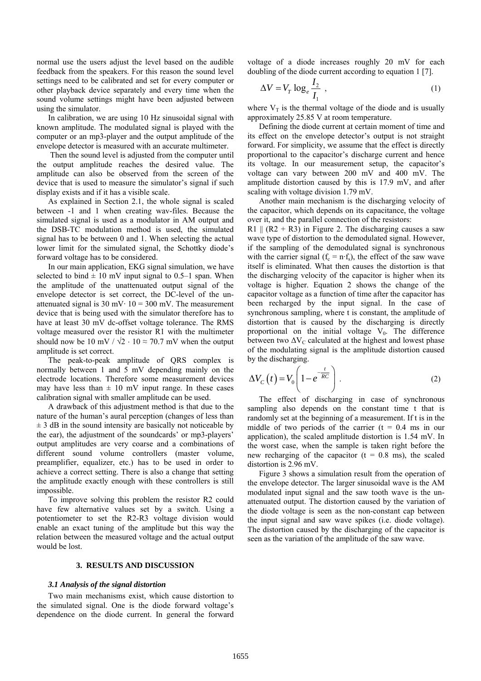normal use the users adjust the level based on the audible feedback from the speakers. For this reason the sound level settings need to be calibrated and set for every computer or other playback device separately and every time when the sound volume settings might have been adjusted between using the simulator.

In calibration, we are using 10 Hz sinusoidal signal with known amplitude. The modulated signal is played with the computer or an mp3-player and the output amplitude of the envelope detector is measured with an accurate multimeter.

 Then the sound level is adjusted from the computer until the output amplitude reaches the desired value. The amplitude can also be observed from the screen of the device that is used to measure the simulator's signal if such display exists and if it has a visible scale.

As explained in Section 2.1, the whole signal is scaled between -1 and 1 when creating wav-files. Because the simulated signal is used as a modulator in AM output and the DSB-TC modulation method is used, the simulated signal has to be between 0 and 1. When selecting the actual lower limit for the simulated signal, the Schottky diode's forward voltage has to be considered.

In our main application, EKG signal simulation, we have selected to bind  $\pm$  10 mV input signal to 0.5–1 span. When the amplitude of the unattenuated output signal of the envelope detector is set correct, the DC-level of the unattenuated signal is 30 mV $\cdot$  10 = 300 mV. The measurement device that is being used with the simulator therefore has to have at least 30 mV dc-offset voltage tolerance. The RMS voltage measured over the resistor R1 with the multimeter should now be 10 mV /  $\sqrt{2} \cdot 10 \approx 70.7$  mV when the output amplitude is set correct.

The peak-to-peak amplitude of QRS complex is normally between 1 and 5 mV depending mainly on the electrode locations. Therefore some measurement devices may have less than  $\pm$  10 mV input range. In these cases calibration signal with smaller amplitude can be used.

A drawback of this adjustment method is that due to the nature of the human's aural perception (changes of less than  $\pm$  3 dB in the sound intensity are basically not noticeable by the ear), the adjustment of the soundcards' or mp3-players' output amplitudes are very coarse and a combinations of different sound volume controllers (master volume, preamplifier, equalizer, etc.) has to be used in order to achieve a correct setting. There is also a change that setting the amplitude exactly enough with these controllers is still impossible.

To improve solving this problem the resistor R2 could have few alternative values set by a switch. Using a potentiometer to set the R2-R3 voltage division would enable an exact tuning of the amplitude but this way the relation between the measured voltage and the actual output would be lost.

## **3. RESULTS AND DISCUSSION**

#### *3.1 Analysis of the signal distortion*

Two main mechanisms exist, which cause distortion to the simulated signal. One is the diode forward voltage's dependence on the diode current. In general the forward voltage of a diode increases roughly 20 mV for each doubling of the diode current according to equation 1 [7].

$$
\Delta V = V_T \log_e \frac{I_2}{I_1} \tag{1}
$$

where  $V_T$  is the thermal voltage of the diode and is usually approximately 25.85 V at room temperature.

Defining the diode current at certain moment of time and its effect on the envelope detector's output is not straight forward. For simplicity, we assume that the effect is directly proportional to the capacitor's discharge current and hence its voltage. In our measurement setup, the capacitor's voltage can vary between 200 mV and 400 mV. The amplitude distortion caused by this is 17.9 mV, and after scaling with voltage division 1.79 mV.

Another main mechanism is the discharging velocity of the capacitor, which depends on its capacitance, the voltage over it, and the parallel connection of the resistors:

R1  $\parallel$  (R2 + R3) in Figure 2. The discharging causes a saw wave type of distortion to the demodulated signal. However, if the sampling of the demodulated signal is synchronous with the carrier signal  $(f_c = n \cdot f_s)$ , the effect of the saw wave itself is eliminated. What then causes the distortion is that the discharging velocity of the capacitor is higher when its voltage is higher. Equation 2 shows the change of the capacitor voltage as a function of time after the capacitor has been recharged by the input signal. In the case of synchronous sampling, where t is constant, the amplitude of distortion that is caused by the discharging is directly proportional on the initial voltage  $V_0$ . The difference between two  $\Delta V_C$  calculated at the highest and lowest phase of the modulating signal is the amplitude distortion caused by the discharging.

$$
\Delta V_C(t) = V_0 \left( 1 - e^{-\frac{t}{RC}} \right).
$$
 (2)

The effect of discharging in case of synchronous sampling also depends on the constant time t that is randomly set at the beginning of a measurement. If t is in the middle of two periods of the carrier  $(t = 0.4$  ms in our application), the scaled amplitude distortion is 1.54 mV. In the worst case, when the sample is taken right before the new recharging of the capacitor ( $t = 0.8$  ms), the scaled distortion is 2.96 mV.

Figure 3 shows a simulation result from the operation of the envelope detector. The larger sinusoidal wave is the AM modulated input signal and the saw tooth wave is the unattenuated output. The distortion caused by the variation of the diode voltage is seen as the non-constant cap between the input signal and saw wave spikes (i.e. diode voltage). The distortion caused by the discharging of the capacitor is seen as the variation of the amplitude of the saw wave.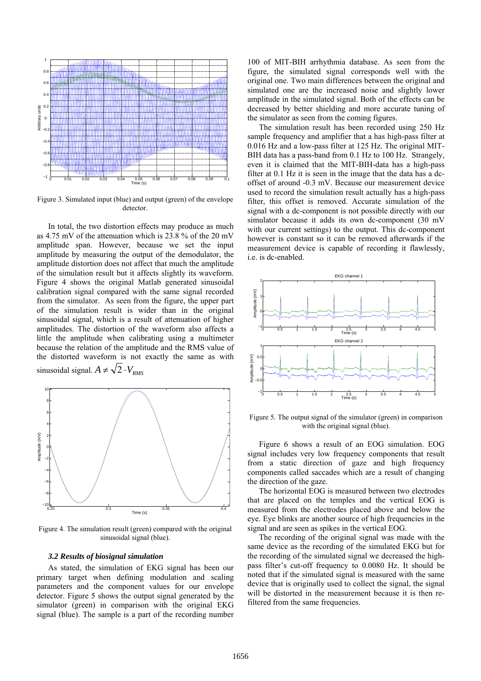

Figure 3. Simulated input (blue) and output (green) of the envelope detector.

In total, the two distortion effects may produce as much as 4.75 mV of the attenuation which is 23.8 % of the 20 mV amplitude span. However, because we set the input amplitude by measuring the output of the demodulator, the amplitude distortion does not affect that much the amplitude of the simulation result but it affects slightly its waveform. Figure 4 shows the original Matlab generated sinusoidal calibration signal compared with the same signal recorded from the simulator. As seen from the figure, the upper part of the simulation result is wider than in the original sinusoidal signal, which is a result of attenuation of higher amplitudes. The distortion of the waveform also affects a little the amplitude when calibrating using a multimeter because the relation of the amplitude and the RMS value of the distorted waveform is not exactly the same as with sinusoidal signal.  $A \neq \sqrt{2} \cdot V_{RMS}$ 



Figure 4. The simulation result (green) compared with the original sinusoidal signal (blue).

## *3.2 Results of biosignal simulation*

As stated, the simulation of EKG signal has been our primary target when defining modulation and scaling parameters and the component values for our envelope detector. Figure 5 shows the output signal generated by the simulator (green) in comparison with the original EKG signal (blue). The sample is a part of the recording number

100 of MIT-BIH arrhythmia database. As seen from the figure, the simulated signal corresponds well with the original one. Two main differences between the original and simulated one are the increased noise and slightly lower amplitude in the simulated signal. Both of the effects can be decreased by better shielding and more accurate tuning of the simulator as seen from the coming figures.

The simulation result has been recorded using 250 Hz sample frequency and amplifier that a has high-pass filter at 0.016 Hz and a low-pass filter at 125 Hz. The original MIT-BIH data has a pass-band from 0.1 Hz to 100 Hz. Strangely, even it is claimed that the MIT-BIH-data has a high-pass filter at 0.1 Hz it is seen in the image that the data has a dcoffset of around -0.3 mV. Because our measurement device used to record the simulation result actually has a high-pass filter, this offset is removed. Accurate simulation of the signal with a dc-component is not possible directly with our simulator because it adds its own dc-component (30 mV) with our current settings) to the output. This dc-component however is constant so it can be removed afterwards if the measurement device is capable of recording it flawlessly, i.e. is dc-enabled.



Figure 5. The output signal of the simulator (green) in comparison with the original signal (blue).

Figure 6 shows a result of an EOG simulation. EOG signal includes very low frequency components that result from a static direction of gaze and high frequency components called saccades which are a result of changing the direction of the gaze.

The horizontal EOG is measured between two electrodes that are placed on the temples and the vertical EOG is measured from the electrodes placed above and below the eye. Eye blinks are another source of high frequencies in the signal and are seen as spikes in the vertical EOG.

The recording of the original signal was made with the same device as the recording of the simulated EKG but for the recording of the simulated signal we decreased the highpass filter's cut-off frequency to 0.0080 Hz. It should be noted that if the simulated signal is measured with the same device that is originally used to collect the signal, the signal will be distorted in the measurement because it is then refiltered from the same frequencies.